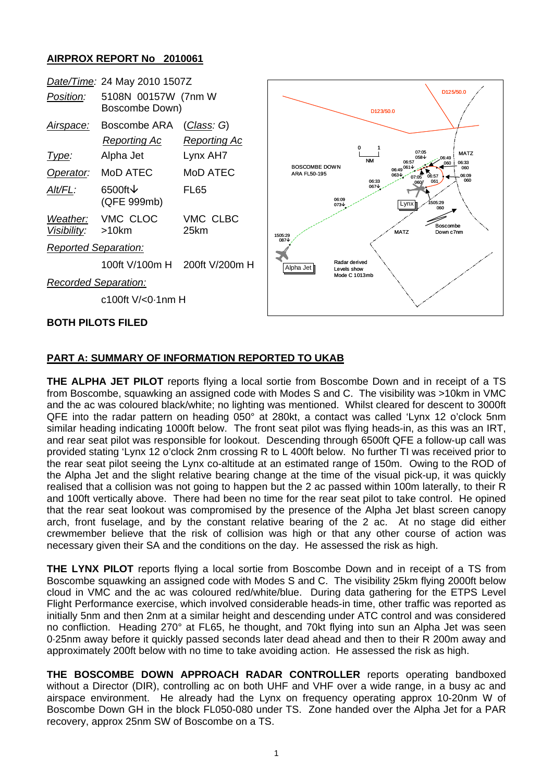## **AIRPROX REPORT No 2010061**



## **PART A: SUMMARY OF INFORMATION REPORTED TO UKAB**

**THE ALPHA JET PILOT** reports flying a local sortie from Boscombe Down and in receipt of a TS from Boscombe, squawking an assigned code with Modes S and C. The visibility was >10km in VMC and the ac was coloured black/white; no lighting was mentioned. Whilst cleared for descent to 3000ft QFE into the radar pattern on heading 050° at 280kt, a contact was called 'Lynx 12 o'clock 5nm similar heading indicating 1000ft below. The front seat pilot was flying heads-in, as this was an IRT, and rear seat pilot was responsible for lookout. Descending through 6500ft QFE a follow-up call was provided stating 'Lynx 12 o'clock 2nm crossing R to L 400ft below. No further TI was received prior to the rear seat pilot seeing the Lynx co-altitude at an estimated range of 150m. Owing to the ROD of the Alpha Jet and the slight relative bearing change at the time of the visual pick-up, it was quickly realised that a collision was not going to happen but the 2 ac passed within 100m laterally, to their R and 100ft vertically above. There had been no time for the rear seat pilot to take control. He opined that the rear seat lookout was compromised by the presence of the Alpha Jet blast screen canopy arch, front fuselage, and by the constant relative bearing of the 2 ac. At no stage did either crewmember believe that the risk of collision was high or that any other course of action was necessary given their SA and the conditions on the day. He assessed the risk as high.

**THE LYNX PILOT** reports flying a local sortie from Boscombe Down and in receipt of a TS from Boscombe squawking an assigned code with Modes S and C. The visibility 25km flying 2000ft below cloud in VMC and the ac was coloured red/white/blue. During data gathering for the ETPS Level Flight Performance exercise, which involved considerable heads-in time, other traffic was reported as initially 5nm and then 2nm at a similar height and descending under ATC control and was considered no confliction. Heading 270° at FL65, he thought, and 70kt flying into sun an Alpha Jet was seen 0·25nm away before it quickly passed seconds later dead ahead and then to their R 200m away and approximately 200ft below with no time to take avoiding action. He assessed the risk as high.

**THE BOSCOMBE DOWN APPROACH RADAR CONTROLLER** reports operating bandboxed without a Director (DIR), controlling ac on both UHF and VHF over a wide range, in a busy ac and airspace environment. He already had the Lynx on frequency operating approx 10-20nm W of Boscombe Down GH in the block FL050-080 under TS. Zone handed over the Alpha Jet for a PAR recovery, approx 25nm SW of Boscombe on a TS.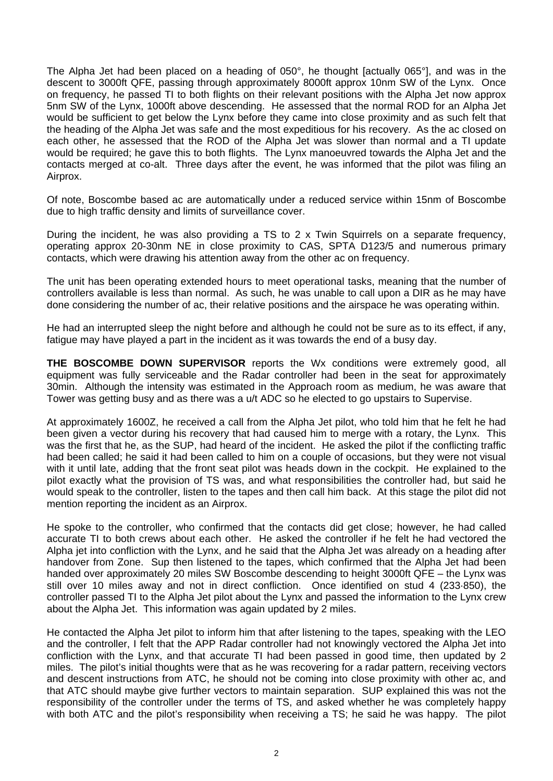The Alpha Jet had been placed on a heading of 050°, he thought [actually 065°], and was in the descent to 3000ft QFE, passing through approximately 8000ft approx 10nm SW of the Lynx. Once on frequency, he passed TI to both flights on their relevant positions with the Alpha Jet now approx 5nm SW of the Lynx, 1000ft above descending. He assessed that the normal ROD for an Alpha Jet would be sufficient to get below the Lynx before they came into close proximity and as such felt that the heading of the Alpha Jet was safe and the most expeditious for his recovery. As the ac closed on each other, he assessed that the ROD of the Alpha Jet was slower than normal and a TI update would be required; he gave this to both flights. The Lynx manoeuvred towards the Alpha Jet and the contacts merged at co-alt. Three days after the event, he was informed that the pilot was filing an Airprox.

Of note, Boscombe based ac are automatically under a reduced service within 15nm of Boscombe due to high traffic density and limits of surveillance cover.

During the incident, he was also providing a TS to 2 x Twin Squirrels on a separate frequency, operating approx 20-30nm NE in close proximity to CAS, SPTA D123/5 and numerous primary contacts, which were drawing his attention away from the other ac on frequency.

The unit has been operating extended hours to meet operational tasks, meaning that the number of controllers available is less than normal. As such, he was unable to call upon a DIR as he may have done considering the number of ac, their relative positions and the airspace he was operating within.

He had an interrupted sleep the night before and although he could not be sure as to its effect, if any, fatigue may have played a part in the incident as it was towards the end of a busy day.

**THE BOSCOMBE DOWN SUPERVISOR** reports the Wx conditions were extremely good, all equipment was fully serviceable and the Radar controller had been in the seat for approximately 30min. Although the intensity was estimated in the Approach room as medium, he was aware that Tower was getting busy and as there was a u/t ADC so he elected to go upstairs to Supervise.

At approximately 1600Z, he received a call from the Alpha Jet pilot, who told him that he felt he had been given a vector during his recovery that had caused him to merge with a rotary, the Lynx. This was the first that he, as the SUP, had heard of the incident. He asked the pilot if the conflicting traffic had been called; he said it had been called to him on a couple of occasions, but they were not visual with it until late, adding that the front seat pilot was heads down in the cockpit. He explained to the pilot exactly what the provision of TS was, and what responsibilities the controller had, but said he would speak to the controller, listen to the tapes and then call him back. At this stage the pilot did not mention reporting the incident as an Airprox.

He spoke to the controller, who confirmed that the contacts did get close; however, he had called accurate TI to both crews about each other. He asked the controller if he felt he had vectored the Alpha jet into confliction with the Lynx, and he said that the Alpha Jet was already on a heading after handover from Zone. Sup then listened to the tapes, which confirmed that the Alpha Jet had been handed over approximately 20 miles SW Boscombe descending to height 3000ft QFE – the Lynx was still over 10 miles away and not in direct confliction. Once identified on stud 4 (233·850), the controller passed TI to the Alpha Jet pilot about the Lynx and passed the information to the Lynx crew about the Alpha Jet. This information was again updated by 2 miles.

He contacted the Alpha Jet pilot to inform him that after listening to the tapes, speaking with the LEO and the controller, I felt that the APP Radar controller had not knowingly vectored the Alpha Jet into confliction with the Lynx, and that accurate TI had been passed in good time, then updated by 2 miles. The pilot's initial thoughts were that as he was recovering for a radar pattern, receiving vectors and descent instructions from ATC, he should not be coming into close proximity with other ac, and that ATC should maybe give further vectors to maintain separation. SUP explained this was not the responsibility of the controller under the terms of TS, and asked whether he was completely happy with both ATC and the pilot's responsibility when receiving a TS; he said he was happy. The pilot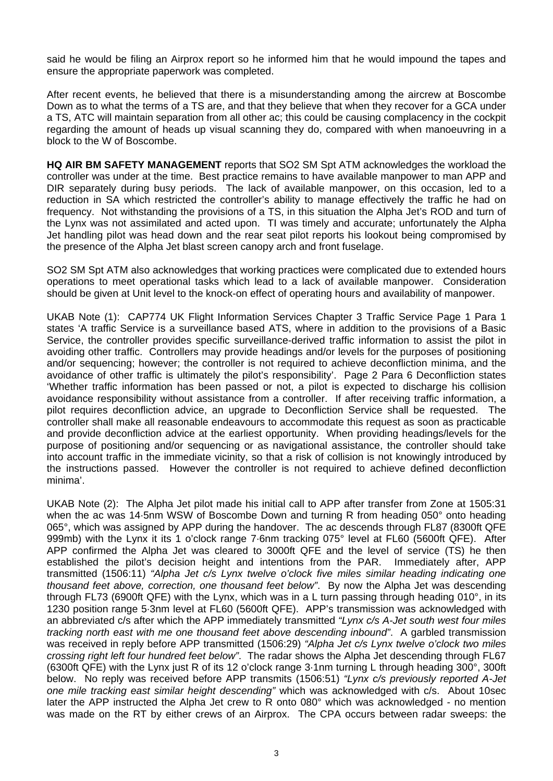said he would be filing an Airprox report so he informed him that he would impound the tapes and ensure the appropriate paperwork was completed.

After recent events, he believed that there is a misunderstanding among the aircrew at Boscombe Down as to what the terms of a TS are, and that they believe that when they recover for a GCA under a TS, ATC will maintain separation from all other ac; this could be causing complacency in the cockpit regarding the amount of heads up visual scanning they do, compared with when manoeuvring in a block to the W of Boscombe.

**HQ AIR BM SAFETY MANAGEMENT** reports that SO2 SM Spt ATM acknowledges the workload the controller was under at the time. Best practice remains to have available manpower to man APP and DIR separately during busy periods. The lack of available manpower, on this occasion, led to a reduction in SA which restricted the controller's ability to manage effectively the traffic he had on frequency. Not withstanding the provisions of a TS, in this situation the Alpha Jet's ROD and turn of the Lynx was not assimilated and acted upon. TI was timely and accurate; unfortunately the Alpha Jet handling pilot was head down and the rear seat pilot reports his lookout being compromised by the presence of the Alpha Jet blast screen canopy arch and front fuselage.

SO2 SM Spt ATM also acknowledges that working practices were complicated due to extended hours operations to meet operational tasks which lead to a lack of available manpower. Consideration should be given at Unit level to the knock-on effect of operating hours and availability of manpower.

UKAB Note (1): CAP774 UK Flight Information Services Chapter 3 Traffic Service Page 1 Para 1 states 'A traffic Service is a surveillance based ATS, where in addition to the provisions of a Basic Service, the controller provides specific surveillance-derived traffic information to assist the pilot in avoiding other traffic. Controllers may provide headings and/or levels for the purposes of positioning and/or sequencing; however; the controller is not required to achieve deconfliction minima, and the avoidance of other traffic is ultimately the pilot's responsibility'. Page 2 Para 6 Deconfliction states 'Whether traffic information has been passed or not, a pilot is expected to discharge his collision avoidance responsibility without assistance from a controller. If after receiving traffic information, a pilot requires deconfliction advice, an upgrade to Deconfliction Service shall be requested. The controller shall make all reasonable endeavours to accommodate this request as soon as practicable and provide deconfliction advice at the earliest opportunity. When providing headings/levels for the purpose of positioning and/or sequencing or as navigational assistance, the controller should take into account traffic in the immediate vicinity, so that a risk of collision is not knowingly introduced by the instructions passed. However the controller is not required to achieve defined deconfliction minima'.

UKAB Note (2): The Alpha Jet pilot made his initial call to APP after transfer from Zone at 1505:31 when the ac was 14·5nm WSW of Boscombe Down and turning R from heading 050° onto heading 065°, which was assigned by APP during the handover. The ac descends through FL87 (8300ft QFE 999mb) with the Lynx it its 1 o'clock range 7·6nm tracking 075° level at FL60 (5600ft QFE). After APP confirmed the Alpha Jet was cleared to 3000ft QFE and the level of service (TS) he then established the pilot's decision height and intentions from the PAR. Immediately after, APP transmitted (1506:11) *"Alpha Jet c/s Lynx twelve o'clock five miles similar heading indicating one thousand feet above, correction, one thousand feet below"*. By now the Alpha Jet was descending through FL73 (6900ft QFE) with the Lynx, which was in a L turn passing through heading 010°, in its 1230 position range 5·3nm level at FL60 (5600ft QFE). APP's transmission was acknowledged with an abbreviated c/s after which the APP immediately transmitted *"Lynx c/s A-Jet south west four miles tracking north east with me one thousand feet above descending inbound"*. A garbled transmission was received in reply before APP transmitted (1506:29) *"Alpha Jet c/s Lynx twelve o'clock two miles crossing right left four hundred feet below"*. The radar shows the Alpha Jet descending through FL67 (6300ft QFE) with the Lynx just R of its 12 o'clock range 3·1nm turning L through heading 300°, 300ft below. No reply was received before APP transmits (1506:51) *"Lynx c/s previously reported A-Jet one mile tracking east similar height descending"* which was acknowledged with c/s. About 10sec later the APP instructed the Alpha Jet crew to R onto 080° which was acknowledged - no mention was made on the RT by either crews of an Airprox. The CPA occurs between radar sweeps: the